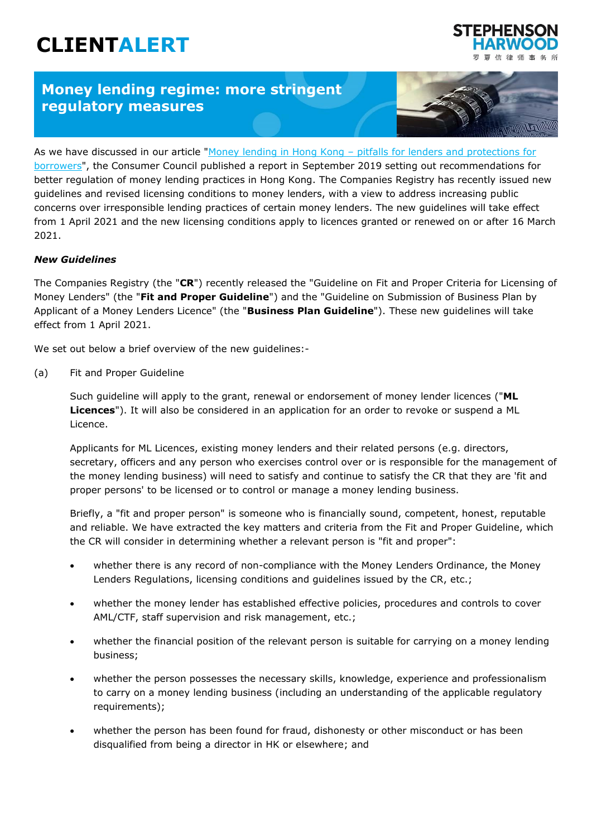# **CLIENTALERT**

## **Money lending regime: more stringent regulatory measures**



师事务所

As we have discussed in our article "Money lending in Hong Kong – pitfalls for lenders and protections for [borrowers"](https://www.shlegal.com/insights/money-lending-in-hong-kong---pitfalls-for-lenders-and-protections-for-borrowers), the Consumer Council published a report in September 2019 setting out recommendations for better regulation of money lending practices in Hong Kong. The Companies Registry has recently issued new guidelines and revised licensing conditions to money lenders, with a view to address increasing public concerns over irresponsible lending practices of certain money lenders. The new guidelines will take effect from 1 April 2021 and the new licensing conditions apply to licences granted or renewed on or after 16 March 2021.

#### *New Guidelines*

The Companies Registry (the "**CR**") recently released the "Guideline on Fit and Proper Criteria for Licensing of Money Lenders" (the "**Fit and Proper Guideline**") and the "Guideline on Submission of Business Plan by Applicant of a Money Lenders Licence" (the "**Business Plan Guideline**"). These new guidelines will take effect from 1 April 2021.

We set out below a brief overview of the new guidelines:-

(a) Fit and Proper Guideline

Such guideline will apply to the grant, renewal or endorsement of money lender licences ("**ML Licences**"). It will also be considered in an application for an order to revoke or suspend a ML Licence.

Applicants for ML Licences, existing money lenders and their related persons (e.g. directors, secretary, officers and any person who exercises control over or is responsible for the management of the money lending business) will need to satisfy and continue to satisfy the CR that they are 'fit and proper persons' to be licensed or to control or manage a money lending business.

Briefly, a "fit and proper person" is someone who is financially sound, competent, honest, reputable and reliable. We have extracted the key matters and criteria from the Fit and Proper Guideline, which the CR will consider in determining whether a relevant person is "fit and proper":

- whether there is any record of non-compliance with the Money Lenders Ordinance, the Money Lenders Regulations, licensing conditions and guidelines issued by the CR, etc.;
- whether the money lender has established effective policies, procedures and controls to cover AML/CTF, staff supervision and risk management, etc.;
- whether the financial position of the relevant person is suitable for carrying on a money lending business;
- whether the person possesses the necessary skills, knowledge, experience and professionalism to carry on a money lending business (including an understanding of the applicable regulatory requirements);
- whether the person has been found for fraud, dishonesty or other misconduct or has been disqualified from being a director in HK or elsewhere; and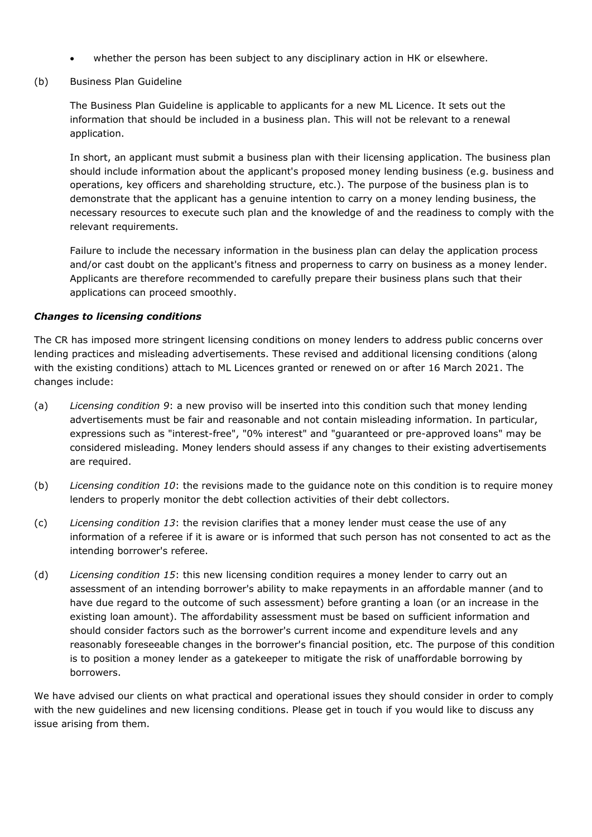- whether the person has been subject to any disciplinary action in HK or elsewhere.
- (b) Business Plan Guideline

The Business Plan Guideline is applicable to applicants for a new ML Licence. It sets out the information that should be included in a business plan. This will not be relevant to a renewal application.

In short, an applicant must submit a business plan with their licensing application. The business plan should include information about the applicant's proposed money lending business (e.g. business and operations, key officers and shareholding structure, etc.). The purpose of the business plan is to demonstrate that the applicant has a genuine intention to carry on a money lending business, the necessary resources to execute such plan and the knowledge of and the readiness to comply with the relevant requirements.

Failure to include the necessary information in the business plan can delay the application process and/or cast doubt on the applicant's fitness and properness to carry on business as a money lender. Applicants are therefore recommended to carefully prepare their business plans such that their applications can proceed smoothly.

#### *Changes to licensing conditions*

The CR has imposed more stringent licensing conditions on money lenders to address public concerns over lending practices and misleading advertisements. These revised and additional licensing conditions (along with the existing conditions) attach to ML Licences granted or renewed on or after 16 March 2021. The changes include:

- (a) *Licensing condition 9*: a new proviso will be inserted into this condition such that money lending advertisements must be fair and reasonable and not contain misleading information. In particular, expressions such as "interest-free", "0% interest" and "guaranteed or pre-approved loans" may be considered misleading. Money lenders should assess if any changes to their existing advertisements are required.
- (b) *Licensing condition 10*: the revisions made to the guidance note on this condition is to require money lenders to properly monitor the debt collection activities of their debt collectors.
- (c) *Licensing condition 13*: the revision clarifies that a money lender must cease the use of any information of a referee if it is aware or is informed that such person has not consented to act as the intending borrower's referee.
- (d) *Licensing condition 15*: this new licensing condition requires a money lender to carry out an assessment of an intending borrower's ability to make repayments in an affordable manner (and to have due regard to the outcome of such assessment) before granting a loan (or an increase in the existing loan amount). The affordability assessment must be based on sufficient information and should consider factors such as the borrower's current income and expenditure levels and any reasonably foreseeable changes in the borrower's financial position, etc. The purpose of this condition is to position a money lender as a gatekeeper to mitigate the risk of unaffordable borrowing by borrowers.

We have advised our clients on what practical and operational issues they should consider in order to comply with the new guidelines and new licensing conditions. Please get in touch if you would like to discuss any issue arising from them.